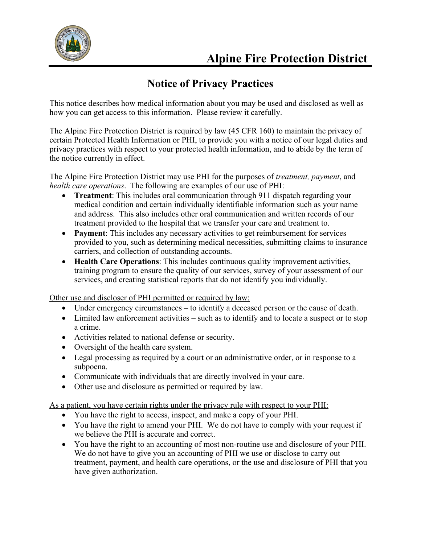

## **Notice of Privacy Practices**

This notice describes how medical information about you may be used and disclosed as well as how you can get access to this information. Please review it carefully.

The Alpine Fire Protection District is required by law (45 CFR 160) to maintain the privacy of certain Protected Health Information or PHI, to provide you with a notice of our legal duties and privacy practices with respect to your protected health information, and to abide by the term of the notice currently in effect.

The Alpine Fire Protection District may use PHI for the purposes of *treatment, payment*, and *health care operations*. The following are examples of our use of PHI:

- **Treatment:** This includes oral communication through 911 dispatch regarding your medical condition and certain individually identifiable information such as your name and address. This also includes other oral communication and written records of our treatment provided to the hospital that we transfer your care and treatment to.
- **Payment**: This includes any necessary activities to get reimbursement for services provided to you, such as determining medical necessities, submitting claims to insurance carriers, and collection of outstanding accounts.
- **Health Care Operations**: This includes continuous quality improvement activities, training program to ensure the quality of our services, survey of your assessment of our services, and creating statistical reports that do not identify you individually.

Other use and discloser of PHI permitted or required by law:

- Under emergency circumstances to identify a deceased person or the cause of death.
- Limited law enforcement activities such as to identify and to locate a suspect or to stop a crime.
- Activities related to national defense or security.
- Oversight of the health care system.
- Legal processing as required by a court or an administrative order, or in response to a subpoena.
- Communicate with individuals that are directly involved in your care.
- Other use and disclosure as permitted or required by law.

As a patient, you have certain rights under the privacy rule with respect to your PHI:

- You have the right to access, inspect, and make a copy of your PHI.
- You have the right to amend your PHI. We do not have to comply with your request if we believe the PHI is accurate and correct.
- You have the right to an accounting of most non-routine use and disclosure of your PHI. We do not have to give you an accounting of PHI we use or disclose to carry out treatment, payment, and health care operations, or the use and disclosure of PHI that you have given authorization.